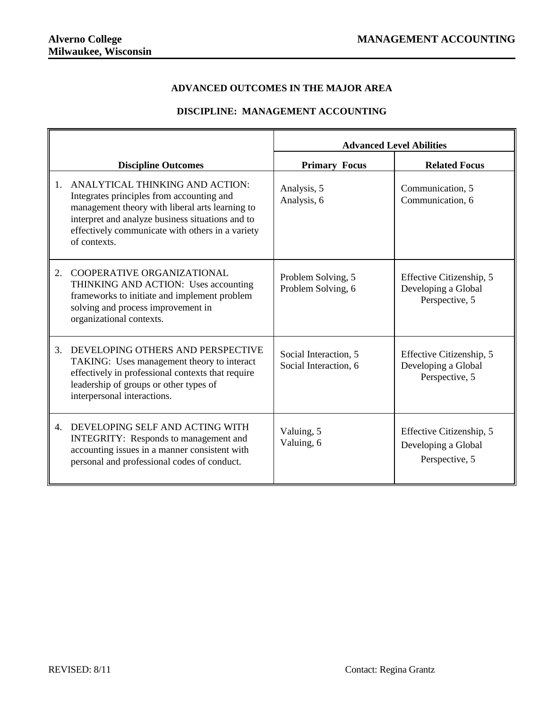## **ADVANCED OUTCOMES IN THE MAJOR AREA**

## **DISCIPLINE: MANAGEMENT ACCOUNTING**

|                |                                                                                                                                                                                                                                                         | <b>Advanced Level Abilities</b>                |                                                                   |  |  |
|----------------|---------------------------------------------------------------------------------------------------------------------------------------------------------------------------------------------------------------------------------------------------------|------------------------------------------------|-------------------------------------------------------------------|--|--|
|                | <b>Discipline Outcomes</b>                                                                                                                                                                                                                              | <b>Primary Focus</b>                           | <b>Related Focus</b>                                              |  |  |
| 1.             | ANALYTICAL THINKING AND ACTION:<br>Integrates principles from accounting and<br>management theory with liberal arts learning to<br>interpret and analyze business situations and to<br>effectively communicate with others in a variety<br>of contexts. | Analysis, 5<br>Analysis, 6                     | Communication, 5<br>Communication, 6                              |  |  |
| 2.             | COOPERATIVE ORGANIZATIONAL<br>THINKING AND ACTION: Uses accounting<br>frameworks to initiate and implement problem<br>solving and process improvement in<br>organizational contexts.                                                                    | Problem Solving, 5<br>Problem Solving, 6       | Effective Citizenship, 5<br>Developing a Global<br>Perspective, 5 |  |  |
| 3.             | DEVELOPING OTHERS AND PERSPECTIVE<br>TAKING: Uses management theory to interact<br>effectively in professional contexts that require<br>leadership of groups or other types of<br>interpersonal interactions.                                           | Social Interaction, 5<br>Social Interaction, 6 | Effective Citizenship, 5<br>Developing a Global<br>Perspective, 5 |  |  |
| $\mathbf{4}$ . | DEVELOPING SELF AND ACTING WITH<br><b>INTEGRITY:</b> Responds to management and<br>accounting issues in a manner consistent with<br>personal and professional codes of conduct.                                                                         | Valuing, 5<br>Valuing, 6                       | Effective Citizenship, 5<br>Developing a Global<br>Perspective, 5 |  |  |